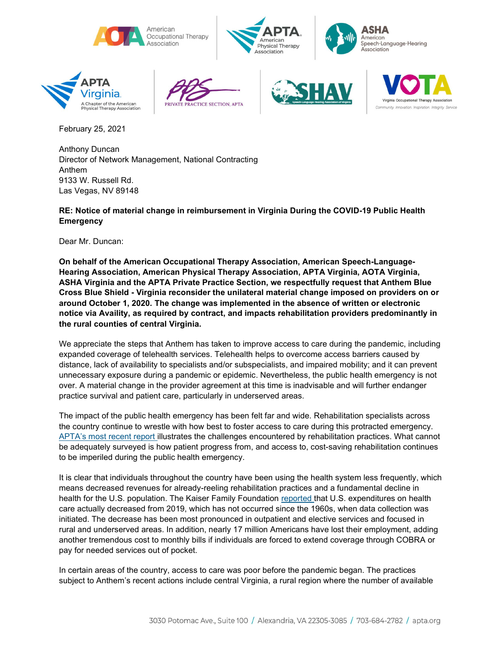













February 25, 2021

Anthony Duncan Director of Network Management, National Contracting Anthem 9133 W. Russell Rd. Las Vegas, NV 89148

## RE: Notice of material change in reimbursement in Virginia During the COVID-19 Public Health **Emergency**

Dear Mr. Duncan:

On behalf of the American Occupational Therapy Association, American Speech-Language-Hearing Association, American Physical Therapy Association, APTA Virginia, AOTA Virginia, ASHA Virginia and the APTA Private Practice Section, we respectfully request that Anthem Blue Cross Blue Shield - Virginia reconsider the unilateral material change imposed on providers on or around October 1, 2020. The change was implemented in the absence of written or electronic notice via Availity, as required by contract, and impacts rehabilitation providers predominantly in the rural counties of central Virginia.

We appreciate the steps that Anthem has taken to improve access to care during the pandemic, including expanded coverage of telehealth services. Telehealth helps to overcome access barriers caused by distance, lack of availability to specialists and/or subspecialists, and impaired mobility; and it can prevent unnecessary exposure during a pandemic or epidemic. Nevertheless, the public health emergency is not over. A material change in the provider agreement at this time is inadvisable and will further endanger practice survival and patient care, particularly in underserved areas.

The impact of the public health emergency has been felt far and wide. Rehabilitation specialists across the country continue to wrestle with how best to foster access to care during this protracted emergency. APTA's most recent report illustrates the challenges encountered by rehabilitation practices. What cannot be adequately surveyed is how patient progress from, and access to, cost-saving rehabilitation continues to be imperiled during the public health emergency.

It is clear that individuals throughout the country have been using the health system less frequently, which means decreased revenues for already-reeling rehabilitation practices and a fundamental decline in health for the U.S. population. The Kaiser Family Foundation reported that U.S. expenditures on health care actually decreased from 2019, which has not occurred since the 1960s, when data collection was initiated. The decrease has been most pronounced in outpatient and elective services and focused in rural and underserved areas. In addition, nearly 17 million Americans have lost their employment, adding another tremendous cost to monthly bills if individuals are forced to extend coverage through COBRA or pay for needed services out of pocket.

In certain areas of the country, access to care was poor before the pandemic began. The practices subject to Anthem's recent actions include central Virginia, a rural region where the number of available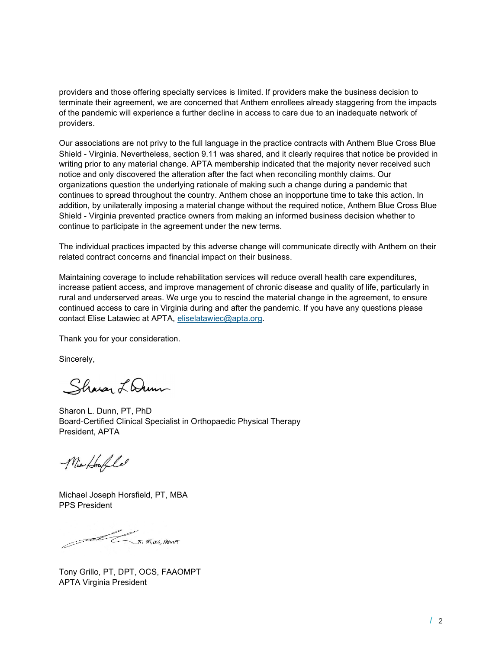providers and those offering specialty services is limited. If providers make the business decision to terminate their agreement, we are concerned that Anthem enrollees already staggering from the impacts of the pandemic will experience a further decline in access to care due to an inadequate network of providers.

Our associations are not privy to the full language in the practice contracts with Anthem Blue Cross Blue Shield - Virginia. Nevertheless, section 9.11 was shared, and it clearly requires that notice be provided in writing prior to any material change. APTA membership indicated that the majority never received such notice and only discovered the alteration after the fact when reconciling monthly claims. Our organizations question the underlying rationale of making such a change during a pandemic that continues to spread throughout the country. Anthem chose an inopportune time to take this action. In addition, by unilaterally imposing a material change without the required notice, Anthem Blue Cross Blue Shield - Virginia prevented practice owners from making an informed business decision whether to continue to participate in the agreement under the new terms.

The individual practices impacted by this adverse change will communicate directly with Anthem on their related contract concerns and financial impact on their business.

Maintaining coverage to include rehabilitation services will reduce overall health care expenditures, increase patient access, and improve management of chronic disease and quality of life, particularly in rural and underserved areas. We urge you to rescind the material change in the agreement, to ensure continued access to care in Virginia during and after the pandemic. If you have any questions please contact Elise Latawiec at APTA, eliselatawiec@apta.org.

Thank you for your consideration.

Sincerely,

Sharan Lam

Sharon L. Dunn, PT, PhD Board-Certified Clinical Specialist in Orthopaedic Physical Therapy President, APTA

Nia Houfle

Michael Joseph Horsfield, PT, MBA PPS President

 $\pi$ ,  $\pi$ ,  $\alpha$ s,  $\beta$ Avert

Tony Grillo, PT, DPT, OCS, FAAOMPT APTA Virginia President